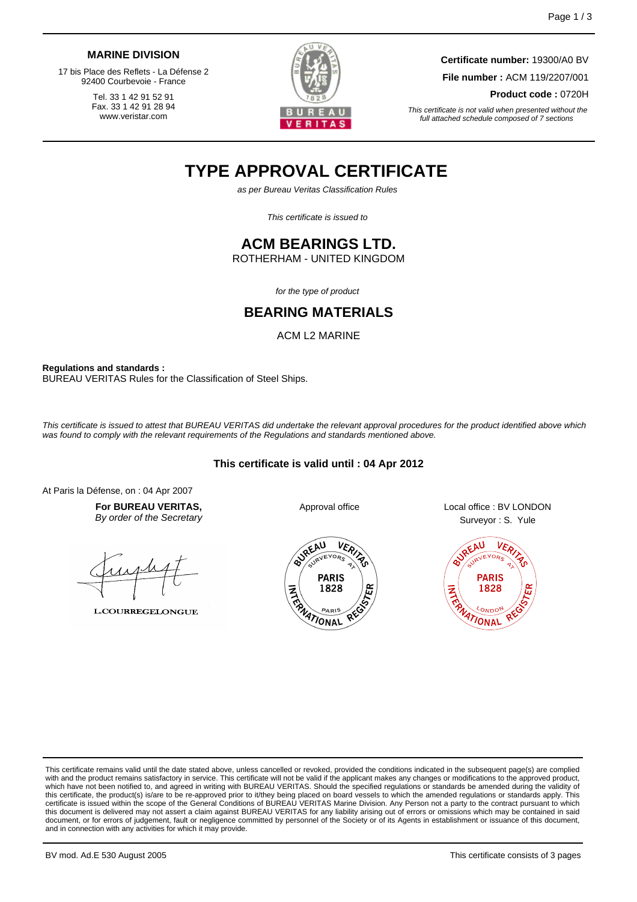#### **MARINE DIVISION**

17 bis Place des Reflets - La Défense 2 92400 Courbevoie - France

> Tel. 33 1 42 91 52 91 Fax. 33 1 42 91 28 94 www.veristar.com



**Certificate number:** 19300/A0 BV **File number :** ACM 119/2207/001 **Product code :** 0720H

This certificate is not valid when presented without the full attached schedule composed of 7 sections

# **TYPE APPROVAL CERTIFICATE**

as per Bureau Veritas Classification Rules

This certificate is issued to

### **ACM BEARINGS LTD.**

ROTHERHAM - UNITED KINGDOM

for the type of product

### **BEARING MATERIALS**

ACM L2 MARINE

**Regulations and standards :** BUREAU VERITAS Rules for the Classification of Steel Ships.

This certificate is issued to attest that BUREAU VERITAS did undertake the relevant approval procedures for the product identified above which was found to comply with the relevant requirements of the Regulations and standards mentioned above.

#### **This certificate is valid until : 04 Apr 2012**

At Paris la Défense, on : 04 Apr 2007

**For BUREAU VERITAS,** By order of the Secretary

**L.COURREGELONGUE** 





Approval office Local office : BV LONDON Surveyor : S. Yule



This certificate remains valid until the date stated above, unless cancelled or revoked, provided the conditions indicated in the subsequent page(s) are complied with and the product remains satisfactory in service. This certificate will not be valid if the applicant makes any changes or modifications to the approved product, which have not been notified to, and agreed in writing with BUREAU VERITAS. Should the specified regulations or standards be amended during the validity of this certificate, the product(s) is/are to be re-approved prior to it/they being placed on board vessels to which the amended regulations or standards apply. This<br>certificate is issued within the scope of the General Condi this document is delivered may not assert a claim against BUREAU VERITAS for any liability arising out of errors or omissions which may be contained in said document, or for errors of judgement, fault or negligence committed by personnel of the Society or of its Agents in establishment or issuance of this document, and in connection with any activities for which it may provide.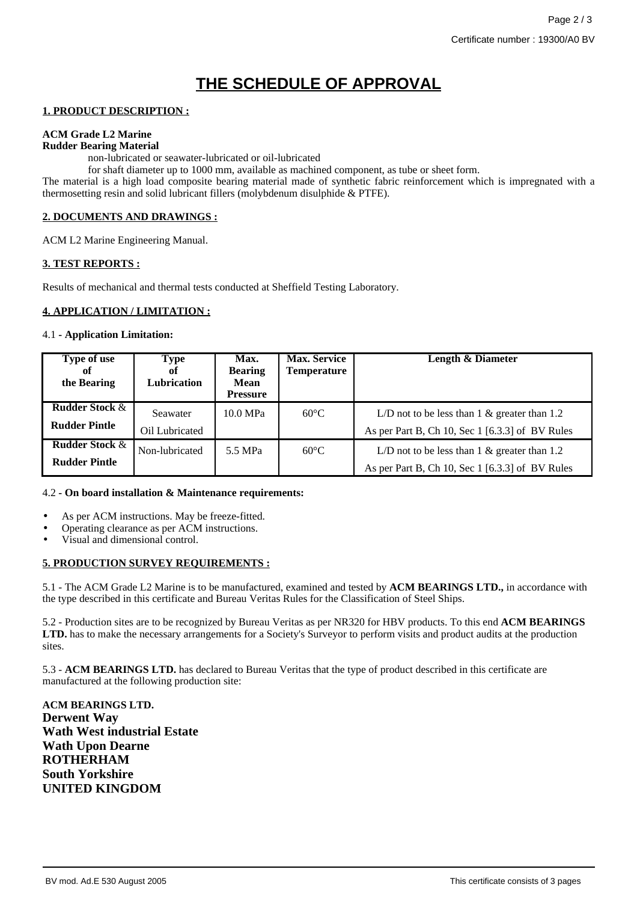## **THE SCHEDULE OF APPROVAL**

#### **1. PRODUCT DESCRIPTION :**

#### **ACM Grade L2 Marine**

#### **Rudder Bearing Material**

non-lubricated or seawater-lubricated or oil-lubricated

for shaft diameter up to 1000 mm, available as machined component, as tube or sheet form.

The material is a high load composite bearing material made of synthetic fabric reinforcement which is impregnated with a thermosetting resin and solid lubricant fillers (molybdenum disulphide & PTFE).

#### **2. DOCUMENTS AND DRAWINGS :**

ACM L2 Marine Engineering Manual.

#### **3. TEST REPORTS :**

Results of mechanical and thermal tests conducted at Sheffield Testing Laboratory.

#### **4. APPLICATION / LIMITATION :**

#### 4.1 **- Application Limitation:**

| Type of use<br>оf<br>the Bearing                  | Type<br>of<br>Lubrication  | Max.<br><b>Bearing</b><br>Mean<br><b>Pressure</b> | <b>Max. Service</b><br><b>Temperature</b> | Length & Diameter                                                                                  |
|---------------------------------------------------|----------------------------|---------------------------------------------------|-------------------------------------------|----------------------------------------------------------------------------------------------------|
| <b>Rudder Stock &amp;</b><br><b>Rudder Pintle</b> | Seawater<br>Oil Lubricated | 10.0 MPa                                          | $60^{\circ}$ C                            | L/D not to be less than $1 \&$ greater than 1.2<br>As per Part B, Ch 10, Sec 1 [6.3.3] of BV Rules |
| <b>Rudder Stock &amp;</b><br><b>Rudder Pintle</b> | Non-lubricated             | 5.5 MPa                                           | $60^{\circ}$ C                            | L/D not to be less than $1 \&$ greater than 1.2<br>As per Part B, Ch 10, Sec 1 [6.3.3] of BV Rules |

#### 4.2 **- On board installation & Maintenance requirements:**

- As per ACM instructions. May be freeze-fitted.
- Operating clearance as per ACM instructions.
- Visual and dimensional control.

#### **5. PRODUCTION SURVEY REQUIREMENTS :**

5.1 - The ACM Grade L2 Marine is to be manufactured, examined and tested by **ACM BEARINGS LTD.,** in accordance with the type described in this certificate and Bureau Veritas Rules for the Classification of Steel Ships.

5.2 - Production sites are to be recognized by Bureau Veritas as per NR320 for HBV products. To this end **ACM BEARINGS LTD.** has to make the necessary arrangements for a Society's Surveyor to perform visits and product audits at the production sites.

5.3 - **ACM BEARINGS LTD.** has declared to Bureau Veritas that the type of product described in this certificate are manufactured at the following production site:

**ACM BEARINGS LTD. Derwent Way Wath West industrial Estate Wath Upon Dearne ROTHERHAM South Yorkshire UNITED KINGDOM**